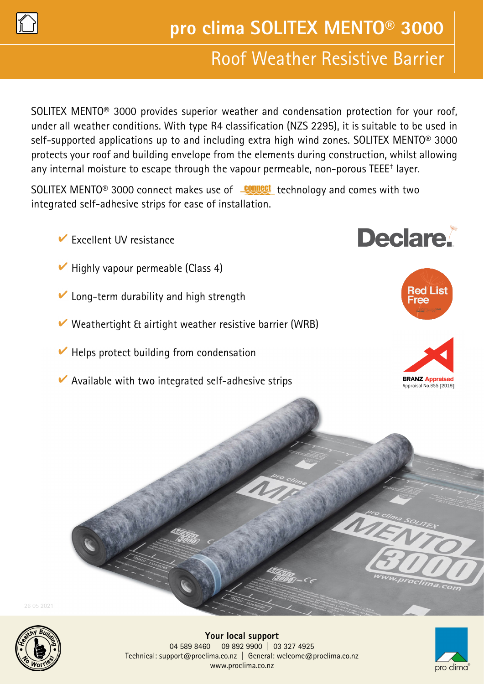

# Roof Weather Resistive Barrier

SOLITEX MENTO® 3000 provides superior weather and condensation protection for your roof, under all weather conditions. With type R4 classification (NZS 2295), it is suitable to be used in self-supported applications up to and including extra high wind zones. SOLITEX MENTO® 3000 protects your roof and building envelope from the elements during construction, whilst allowing any internal moisture to escape through the vapour permeable, non-porous TEEE† layer.

SOLITEX MENTO<sup>®</sup> 3000 connect makes use of **Connect** technology and comes with two integrated self-adhesive strips for ease of installation.

- $\blacktriangleright$  Excellent UV resistance
- $\vee$  Highly vapour permeable (Class 4)
- Long-term durability and high strength
- Weathertight & airtight weather resistive barrier (WRB)
- $\vee$  Helps protect building from condensation
- $\triangleright$  Available with two integrated self-adhesive strips